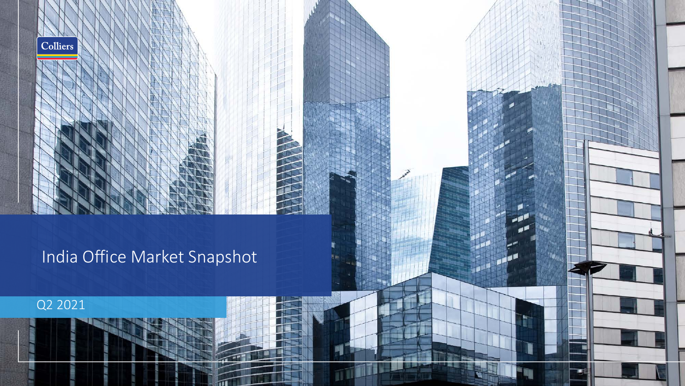# India Office Market Snapshot

ACTES AND A

## Q2 2021

Colliers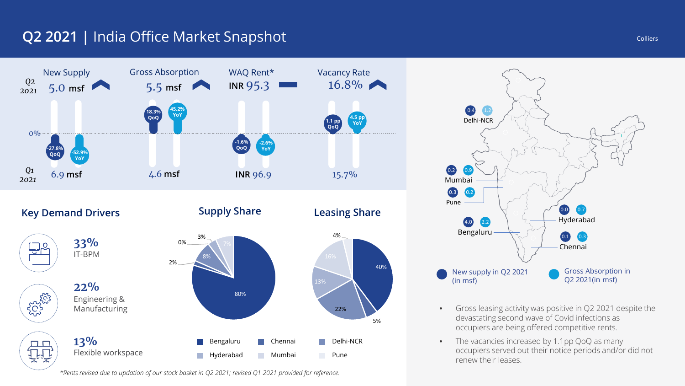## **Q2 2021 |** India Office Market Snapshot



*\*Rents revised due to updation of our stock basket in Q2 2021; revised Q1 2021 provided for reference.*



- Gross leasing activity was positive in Q2 2021 despite the devastating second wave of Covid infections as occupiers are being offered competitive rents.
- The vacancies increased by 1.1pp QoQ as many occupiers served out their notice periods and/or did not renew their leases.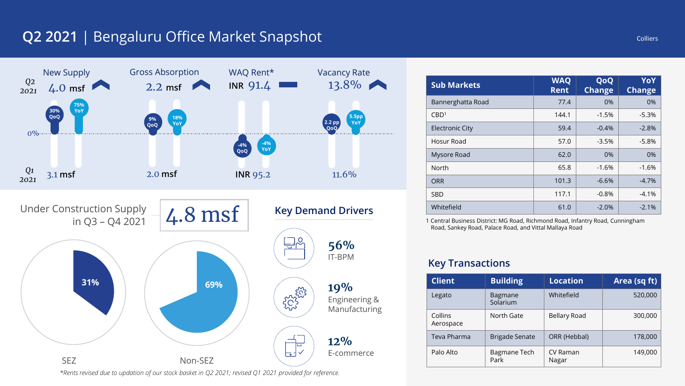## **Q2 2021** | Bengaluru Office Market Snapshot



*\*Rents revised due to updation of our stock basket in Q2 2021; revised Q1 2021 provided for reference.*

| <b>Sub Markets</b>     | <b>WAQ</b><br><b>Rent</b> | QoQ<br><b>Change</b> | YoY<br><b>Change</b> |
|------------------------|---------------------------|----------------------|----------------------|
| Bannerghatta Road      | 77.4                      | 0%                   | $0\%$                |
| CBD <sup>1</sup>       | 144.1                     | $-1.5%$              | $-5.3%$              |
| <b>Electronic City</b> | 59.4                      | $-0.4%$              | $-2.8%$              |
| Hosur Road             | 57.0                      | $-3.5%$              | $-5.8%$              |
| Mysore Road            | 62.0                      | 0%                   | $0\%$                |
| North                  | 65.8                      | $-1.6%$              | $-1.6%$              |
| <b>ORR</b>             | 101.3                     | $-6.6%$              | $-4.7%$              |
| SBD                    | 117.1                     | $-0.8%$              | $-4.1%$              |
| Whitefield             | 61.0                      | $-2.0%$              | $-2.1%$              |

1 Central Business District: MG Road, Richmond Road, Infantry Road, Cunningham Road, Sankey Road, Palace Road, and Vittal Mallaya Road

| <b>Client</b>        | <b>Building</b>            | <b>Location</b>     | Area (sq ft) |
|----------------------|----------------------------|---------------------|--------------|
| Legato               | <b>Bagmane</b><br>Solarium | Whitefield          | 520,000      |
| Collins<br>Aerospace | North Gate                 | <b>Bellary Road</b> | 300,000      |
| Teva Pharma          | <b>Brigade Senate</b>      | ORR (Hebbal)        | 178,000      |
| Palo Alto            | Bagmane Tech<br>Park       | CV Raman<br>Nagar   | 149,000      |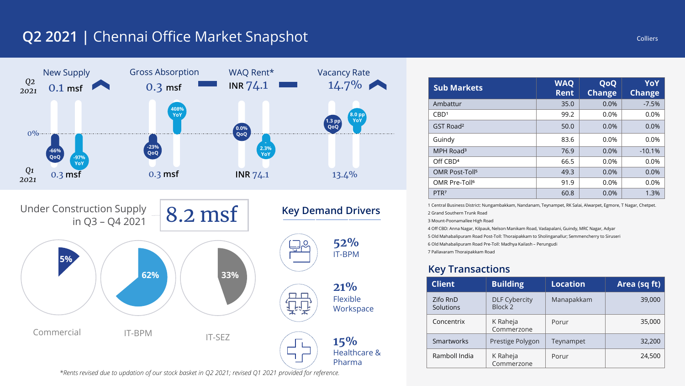## **Q2 2021 |** Chennai Office Market Snapshot



| <b>Sub Markets</b>         | <b>WAQ</b><br><b>Rent</b> | QoQ<br><b>Change</b> | YoY<br><b>Change</b> |
|----------------------------|---------------------------|----------------------|----------------------|
| Ambattur                   | 35.0                      | 0.0%                 | $-7.5%$              |
| CBD <sup>1</sup>           | 99.2                      | 0.0%                 | 0.0%                 |
| GST Road <sup>2</sup>      | 50.0                      | 0.0%                 | 0.0%                 |
| Guindy                     | 83.6                      | 0.0%                 | 0.0%                 |
| MPH Road <sup>3</sup>      | 76.9                      | 0.0%                 | $-10.1%$             |
| Off CBD <sup>4</sup>       | 66.5                      | 0.0%                 | 0.0%                 |
| OMR Post-Toll <sup>5</sup> | 49.3                      | 0.0%                 | 0.0%                 |
| OMR Pre-Toll <sup>6</sup>  | 91.9                      | 0.0%                 | 0.0%                 |
| PTR <sub>7</sub>           | 60.8                      | 0.0%                 | 1.3%                 |

1 Central Business District: Nungambakkam, Nandanam, Teynampet, RK Salai, Alwarpet, Egmore, T Nagar, Chetpet. 2 Grand Southern Trunk Road 3 Mount-Poonamallee High Road

4 Off CBD: Anna Nagar, Kilpauk, Nelson Manikam Road, Vadapalani, Guindy, MRC Nagar, Adyar 5 Old Mahabalipuram Road Post-Toll: Thoraipakkam to Sholinganallur; Semmencherry to Siruseri 6 Old Mahabalipuram Road Pre-Toll: Madhya Kailash – Perungudi 7 Pallavaram Thoraipakkam Road

| <b>Client</b>         | <b>Building</b>                 | <b>Location</b> | Area (sq ft) |
|-----------------------|---------------------------------|-----------------|--------------|
| Zifo RnD<br>Solutions | <b>DLF Cybercity</b><br>Block 2 | Manapakkam      | 39,000       |
| Concentrix            | K Raheja<br>Commerzone          | Porur           | 35,000       |
| <b>Smartworks</b>     | Prestige Polygon                | Teynampet       | 32,200       |
| Ramboll India         | K Raheja<br>Commerzone          | Porur           | 24,500       |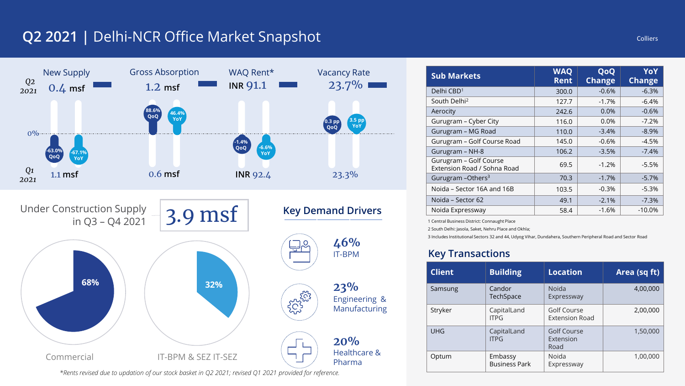## **Q2 2021 |** Delhi-NCR Office Market Snapshot



*\*Rents revised due to updation of our stock basket in Q2 2021; revised Q1 2021 provided for reference.*

| <b>Sub Markets</b>                                    | <b>WAQ</b><br><b>Rent</b> | QoQ<br><b>Change</b> | YoY<br><b>Change</b> |
|-------------------------------------------------------|---------------------------|----------------------|----------------------|
| Delhi CBD <sup>1</sup>                                | 300.0                     | $-0.6%$              | $-6.3%$              |
| South Delhi <sup>2</sup>                              | 127.7                     | $-1.7%$              | $-6.4%$              |
| Aerocity                                              | 242.6                     | 0.0%                 | $-0.6%$              |
| Gurugram - Cyber City                                 | 116.0                     | $0.0\%$              | $-7.2%$              |
| Gurugram - MG Road                                    | 110.0                     | $-3.4%$              | $-8.9%$              |
| Gurugram - Golf Course Road                           | 145.0                     | $-0.6%$              | $-4.5%$              |
| Gurugram - NH-8                                       | 106.2                     | $-3.5%$              | $-7.4%$              |
| Gurugram - Golf Course<br>Extension Road / Sohna Road | 69.5                      | $-1.2%$              | $-5.5%$              |
| Gurugram - Others <sup>3</sup>                        | 70.3                      | $-1.7%$              | $-5.7%$              |
| Noida – Sector 16A and 16B                            | 103.5                     | $-0.3%$              | $-5.3%$              |
| Noida – Sector 62                                     | 49.1                      | $-2.1%$              | $-7.3%$              |
| Noida Expressway                                      | 58.4                      | $-1.6%$              | $-10.0%$             |

1 Central Business District: Connaught Place

2 South Delhi: Jasola, Saket, Nehru Place and Okhla;

3 Includes Institutional Sectors 32 and 44, Udyog Vihar, Dundahera, Southern Peripheral Road and Sector Road

| <b>Client</b> | <b>Building</b>                 | <b>Location</b>                      | Area (sq ft) |
|---------------|---------------------------------|--------------------------------------|--------------|
| Samsung       | Candor<br>TechSpace             | Noida<br>Expressway                  | 4,00,000     |
| Stryker       | CapitalLand<br><b>ITPG</b>      | Golf Course<br><b>Extension Road</b> | 2,00,000     |
| <b>UHG</b>    | CapitalLand<br><b>ITPG</b>      | Golf Course<br>Extension<br>Road     | 1,50,000     |
| Optum         | Embassy<br><b>Business Park</b> | Noida<br>Expressway                  | 1,00,000     |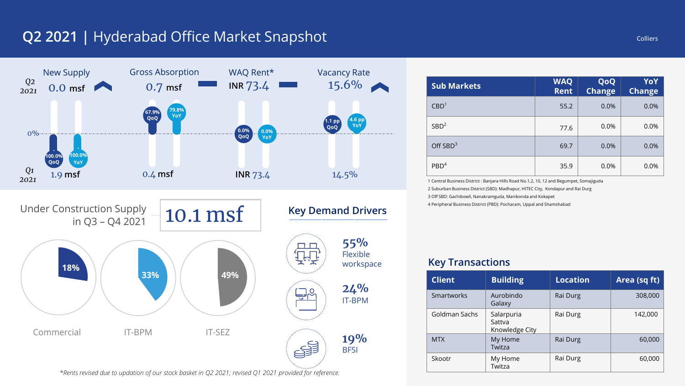## **Q2 2021 |** Hyderabad Office Market Snapshot



| <b>Sub Markets</b> | <b>WAQ</b><br><b>Rent</b> | QoQ<br><b>Change</b> | YoY<br><b>Change</b> |
|--------------------|---------------------------|----------------------|----------------------|
| CBD <sup>1</sup>   | 55.2                      | 0.0%                 | 0.0%                 |
| SBD <sup>2</sup>   | 77.6                      | 0.0%                 | 0.0%                 |
| Off $SBD3$         | 69.7                      | 0.0%                 | 0.0%                 |
| PBD <sup>4</sup>   | 35.9                      | 0.0%                 | 0.0%                 |

1 Central Business District : Banjara Hills Road No.1,2, 10, 12 and Begumpet, Somajiguda 2 Suburban Business District (SBD): Madhapur, HITEC City, Kondapur and Rai Durg 3 Off SBD: Gachibowli, Nanakramguda, Manikonda and Kokapet

4 Peripheral Business District (PBD): Pocharam, Uppal and Shamshabad

### workspace **Key Transactions**

| <b>Client</b> | <b>Building</b>                        | <b>Location</b> | Area (sq ft) |
|---------------|----------------------------------------|-----------------|--------------|
| Smartworks    | Aurobindo<br>Galaxy                    | Rai Durg        | 308,000      |
| Goldman Sachs | Salarpuria<br>Sattva<br>Knowledge City | Rai Durg        | 142,000      |
| <b>MTX</b>    | My Home<br>Twitza                      | Rai Durg        | 60,000       |
| Skootr        | My Home<br>Twitza                      | Rai Durg        | 60,000       |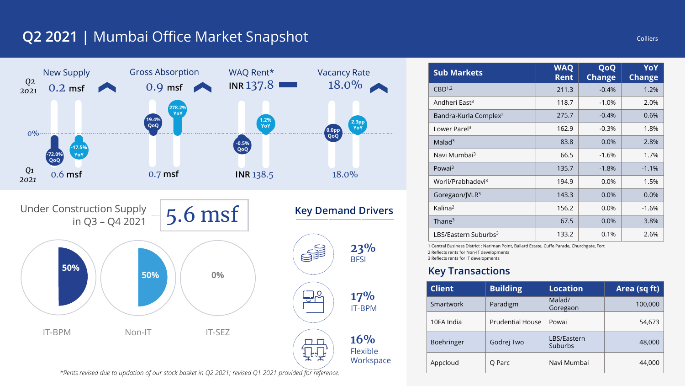## **Q2 2021 |** Mumbai Office Market Snapshot



| <b>Sub Markets</b>                                                                                                                       | <b>WAQ</b><br><b>Rent</b> | QoQ<br><b>Change</b> | YoY<br><b>Change</b> |
|------------------------------------------------------------------------------------------------------------------------------------------|---------------------------|----------------------|----------------------|
| CBD <sup>1,2</sup>                                                                                                                       | 211.3                     | $-0.4%$              | 1.2%                 |
| Andheri East <sup>3</sup>                                                                                                                | 118.7                     | $-1.0%$              | 2.0%                 |
| Bandra-Kurla Complex <sup>2</sup>                                                                                                        | 275.7                     | $-0.4%$              | 0.6%                 |
| Lower Parel <sup>3</sup>                                                                                                                 | 162.9                     | $-0.3%$              | 1.8%                 |
| Malad <sup>3</sup>                                                                                                                       | 83.8                      | 0.0%                 | 2.8%                 |
| Navi Mumbai <sup>3</sup>                                                                                                                 | 66.5                      | $-1.6%$              | 1.7%                 |
| Powai <sup>3</sup>                                                                                                                       | 135.7                     | $-1.8%$              | $-1.1%$              |
| Worli/Prabhadevi <sup>3</sup>                                                                                                            | 194.9                     | 0.0%                 | 1.5%                 |
| Goregaon/JVLR <sup>3</sup>                                                                                                               | 143.3                     | 0.0%                 | 0.0%                 |
| Kalina <sup>2</sup>                                                                                                                      | 156.2                     | 0.0%                 | $-1.6%$              |
| Thane $3$                                                                                                                                | 67.5                      | 0.0%                 | 3.8%                 |
| LBS/Eastern Suburbs <sup>3</sup><br>A. Candrol Britainese Blackers Marketers Ballery Ballard Facets, Criffs Barcelle, Christiansky, Face | 133.2                     | 0.1%                 | 2.6%                 |

'oint, Ballard Estate, Cuffe Parade, Chu 2 Reflects rents for Non-IT developments 3 Reflects rents for IT developments

| <b>Client</b> | <b>Building</b>         | <b>Location</b>        | Area (sq ft) |
|---------------|-------------------------|------------------------|--------------|
| Smartwork     | Paradigm                | Malad/<br>Goregaon     | 100,000      |
| 10FA India    | <b>Prudential House</b> | Powai                  | 54,673       |
| Boehringer    | Godrej Two              | LBS/Eastern<br>Suburbs | 48,000       |
| Appcloud      | O Parc                  | Navi Mumbai            | 44,000       |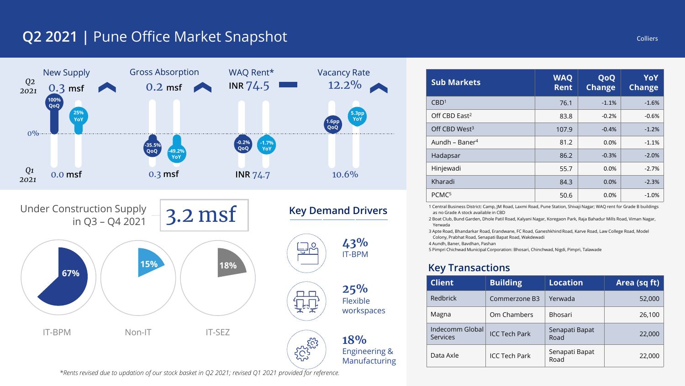## **Q2 2021 |** Pune Office Market Snapshot



| <b>Sub Markets</b>         | <b>WAQ</b><br><b>Rent</b> | QoQ<br><b>Change</b> | YoY<br><b>Change</b> |
|----------------------------|---------------------------|----------------------|----------------------|
| CBD <sup>1</sup>           | 76.1                      | $-1.1%$              | $-1.6%$              |
| Off CBD East <sup>2</sup>  | 83.8                      | $-0.2%$              | $-0.6%$              |
| Off CBD West <sup>3</sup>  | 107.9                     | $-0.4%$              | $-1.2%$              |
| Aundh – Baner <sup>4</sup> | 81.2                      | 0.0%                 | $-1.1%$              |
| Hadapsar                   | 86.2                      | $-0.3%$              | $-2.0%$              |
| Hinjewadi                  | 55.7                      | 0.0%                 | $-2.7%$              |
| Kharadi                    | 84.3                      | 0.0%                 | $-2.3%$              |
| PCMC <sup>5</sup>          | 50.6                      | 0.0%                 | $-1.0%$              |

1 Central Business District: Camp, JM Road, Laxmi Road, Pune Station, Shivaji Nagar; WAQ rent for Grade B buildings as no Grade A stock available in CBD

2 Boat Club, Bund Garden, Dhole Patil Road, Kalyani Nagar, Koregaon Park, Raja Bahadur Mills Road, Viman Nagar, Yerwada

3 Apte Road, Bhandarkar Road, Erandwane, FC Road, Ganeshkhind Road, Karve Road, Law College Road, Model Colony, Prabhat Road, Senapati Bapat Road, Wakdewadi

4 Aundh, Baner, Bavdhan, Pashan

5 Pimpri Chichwad Municipal Corporation: Bhosari, Chinchwad, Nigdi, Pimpri, Talawade

### **Key Transactions**

| <b>Client</b>                      | <b>Building</b>      | <b>Location</b>        | Area (sq ft) |
|------------------------------------|----------------------|------------------------|--------------|
| Redbrick                           | Commerzone B3        | Yerwada                | 52,000       |
| Magna                              | Om Chambers          | <b>Bhosari</b>         | 26,100       |
| Indecomm Global<br><b>Services</b> | <b>ICC Tech Park</b> | Senapati Bapat<br>Road | 22,000       |
| Data Axle                          | <b>ICC Tech Park</b> | Senapati Bapat<br>Road | 22,000       |

*\*Rents revised due to updation of our stock basket in Q2 2021; revised Q1 2021 provided for reference.*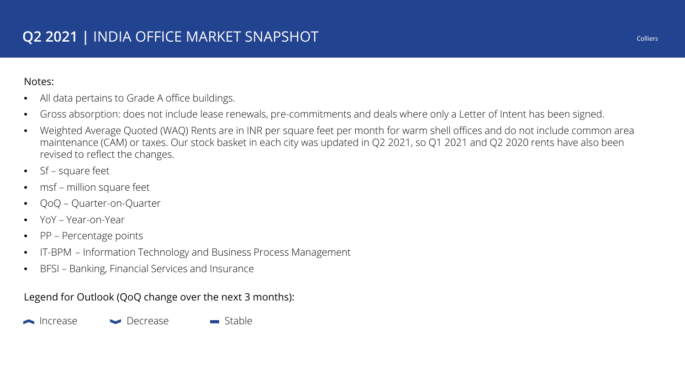### Notes:

- All data pertains to Grade A office buildings.
- Gross absorption: does not include lease renewals, pre-commitments and deals where only a Letter of Intent has been signed.
- Weighted Average Quoted (WAQ) Rents are in INR per square feet per month for warm shell offices and do not include common area maintenance (CAM) or taxes. Our stock basket in each city was updated in Q2 2021, so Q1 2021 and Q2 2020 rents have also been revised to reflect the changes.
- Sf square feet
- msf million square feet
- QoQ Quarter-on-Quarter
- YoY Year-on-Year
- PP Percentage points
- IT-BPM Information Technology and Business Process Management
- BFSI Banking, Financial Services and Insurance

Legend for Outlook (QoQ change over the next 3 months):

▲ Increase → Decrease → Stable